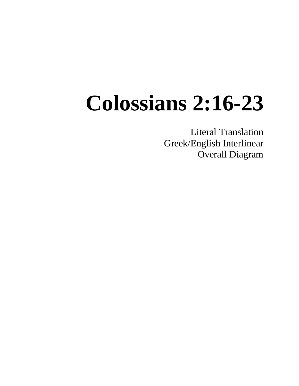# **Colossians 2:16-23**

Literal Translation Greek/English Interlinear Overall Diagram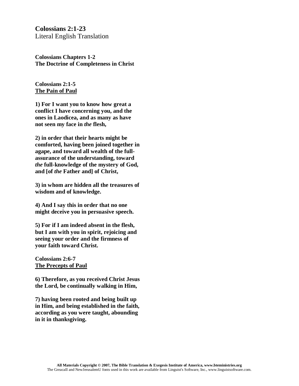**Colossians 2:1-23** Literal English Translation

**Colossians Chapters 1-2 The Doctrine of Completeness in Christ**

#### **Colossians 2:1-5 The Pain of Paul**

**1) For I want you to know how great a conflict I have concerning you, and the ones in Laodicea, and as many as have not seen my face in** *the* **flesh,**

**2) in order that their hearts might be comforted, having been joined together in agape, and toward all wealth of the fullassurance of the understanding, toward**  *the* **full-knowledge of the mystery of God, and [of** *the* **Father and] of Christ,**

**3) in whom are hidden all the treasures of wisdom and of knowledge.**

**4) And I say this in order that no one might deceive you in persuasive speech.**

**5) For if I am indeed absent in the flesh, but I am with you in spirit, rejoicing and seeing your order and the firmness of your faith toward Christ.**

**Colossians 2:6-7 The Precepts of Paul**

**6) Therefore, as you received Christ Jesus the Lord, be continually walking in Him,**

**7) having been rooted and being built up in Him, and being established in the faith, according as you were taught, abounding in it in thanksgiving.**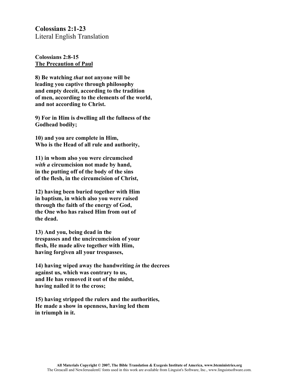**Colossians 2:1-23** Literal English Translation

**Colossians 2:8-15 The Precaution of Paul**

**8) Be watching** *that* **not anyone will be leading you captive through philosophy and empty deceit, according to the tradition of men, according to the elements of the world, and not according to Christ.**

**9) For in Him is dwelling all the fullness of the Godhead bodily;**

**10) and you are complete in Him, Who is the Head of all rule and authority,**

**11) in whom also you were circumcised** *with a* **circumcision not made by hand, in the putting off of the body of the sins of the flesh, in the circumcision of Christ,**

**12) having been buried together with Him in baptism, in which also you were raised through the faith of the energy of God, the One who has raised Him from out of the dead.**

**13) And you, being dead in the trespasses and the uncircumcision of your flesh, He made alive together with Him, having forgiven all your trespasses,**

**14) having wiped away the handwriting** *in* **the decrees against us, which was contrary to us, and He has removed it out of the midst, having nailed it to the cross;**

**15) having stripped the rulers and the authorities, He made a show in openness, having led them in triumph in it.**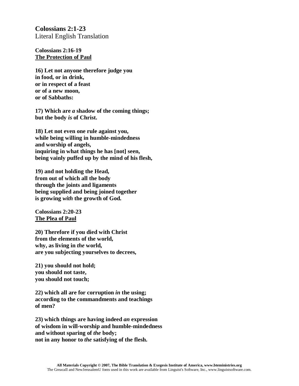**Colossians 2:1-23** Literal English Translation

**Colossians 2:16-19 The Protection of Paul**

**16) Let not anyone therefore judge you in food, or in drink, or in respect of a feast or of a new moon, or of Sabbaths:**

**17) Which are** *a* **shadow of the coming things; but the body** *is* **of Christ.**

**18) Let not even one rule against you, while being willing in humble-mindedness and worship of angels, inquiring in what things he has [not] seen, being vainly puffed up by the mind of his flesh,**

**19) and not holding the Head, from out of which all the body through the joints and ligaments being supplied and being joined together is growing** *with* **the growth of God.**

**Colossians 2:20-23 The Plea of Paul**

**20) Therefore if you died with Christ from the elements of the world, why, as living in** *the* **world, are you subjecting yourselves to decrees,**

**21) you should not hold; you should not taste, you should not touch;**

**22) which all are for corruption** *in* **the using; according to the commandments and teachings of men?**

**23) which things are having indeed** *an* **expression of wisdom in will-worship and humble-mindedness and without sparing of** *the* **body; not in any honor to** *the* **satisfying of the flesh.**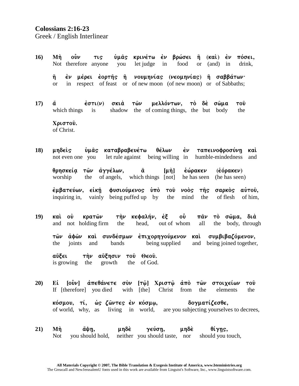## Colossians 2:16-23

Greek / English Interlinear

- $\mathbf{0}\mathbf{v}$ κρινέτω ἐν βρώσει ἢ (καὶ) ἐν  $16<sup>2</sup>$ Mñ ὑμâς πόσει. **TLS** Not therefore anyone you let judge in food  $\alpha$  $(and)$  in drink. έν μέρει έορτής ή νουμηνίας (νεομηνίας) ή σαββάτων· η in respect of feast or of new moon (of new moon) or of Sabbaths;  $\alpha$
- τὸ δὲ σῶμα  $17)$  $\dot{\epsilon}$ στι $(\nu)$  $σκι<sub>α</sub>$  $T\hat{\omega}\nu$ μελλόντων. τοῦ ά which things shadow the of coming things, the but body the  $is$

Χριστού. of Christ.

 $18)$ μηδεὶς ύμας καταβραβευέτω θέλων  $\dot{\epsilon} \nu$ ταπεινοφροσύνη καὶ let rule against being willing in humble-mindedness and not even one you

θρησκεία τῶν ἀγγέλων, ä έώρακεν (Εόρακεν)  $\lceil \mu \eta \rceil$ worship the of angels, which things [not] he has seen (he has seen)

**ἐμβατεύων, εἰκῆ** φυσιούμενος υπό του νοὸς τῆς σαρκός αύτου, inquiring in, vainly being puffed up by the mind of flesh of him. the

 $19)$ καὶ οὐ κρατῶν τὴν κεφαλήν, ἐξ οὖ  $\pi \hat{a} \nu$ τὸ σῶμα, διὰ and not holding firm the head, out of whom the body, through all

τῶν ἀφῶν καὶ συνδέσμων ἐπιχορηγούμενον καὶ συμβιβαζόμενον. the ioints and **bands** being supplied and being joined together,

αὔξ∈ι την αύξησιν του Θεου. is growing the growth the of God.

 $20<sub>0</sub>$ [οὖν] ἀπεθάνετε σὺν [τῷ] Χριστῷ ἀπὸ τῶν στοιχείων Ei ΤΟῢ If [therefore] you died with [the] Christ from the elements the

κόσμου, τί, ώς ζῶντες ἐν κόσμῳ, δογματίζεσθε, of world, why, as living in world, are you subjecting yourselves to decrees,

 $21)$ Mή άψη, unδè γεύση, μηδὲ θίγης, you should hold, neither you should taste, nor should you touch, Not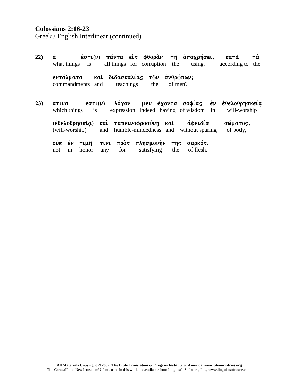### **Colossians 2:16-23**

Greek / English Interlinear (continued)

| 22) | ά<br>what things is                                         | έστι(ν) πάντα είς φθοράν                   | all things for corruption the              | τῆ ἀποχρήσει,<br>using,    | Tὰ<br>κατά<br>according to<br>the                        |
|-----|-------------------------------------------------------------|--------------------------------------------|--------------------------------------------|----------------------------|----------------------------------------------------------|
|     | έντάλματα<br>commandments                                   | διδασκαλίας τών<br>καὶ<br>teachings<br>and | άνθρώπων;<br>the<br>of men?                |                            |                                                          |
| 23) | $\dot{\epsilon}$ στι $(\nu)$<br>άτινα<br>which things<br>is |                                            | expression indeed having of wisdom in      |                            | λόγον μεν έχοντα σοφίας εν εθελοθρησκεία<br>will-worship |
|     | <u>(ἐθελοθρησκία)</u><br>(will-worship)                     | ταπεινοφροσύνη<br>καὶ<br>and               | καὶ<br>humble-mindedness and               | αφειδία<br>without sparing | σώματος,<br>of body,                                     |
|     | ούκ έν<br>τιμή<br>honor<br>in<br>not                        | TIVL<br>for<br>any                         | πρός πλησμονήν<br>τῆς<br>satisfying<br>the | σαρκός.<br>of flesh.       |                                                          |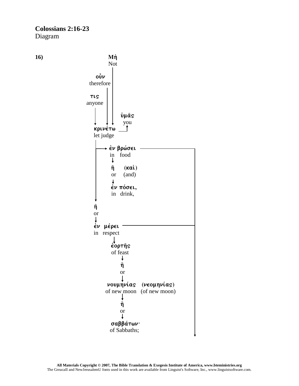#### **Colossians 2:16-23** Diagram

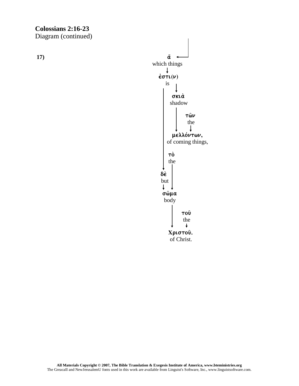$17)$ 

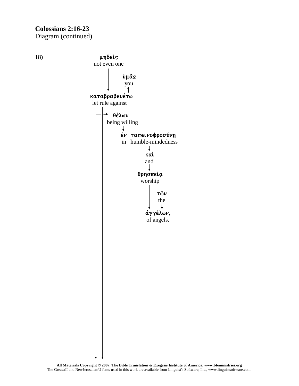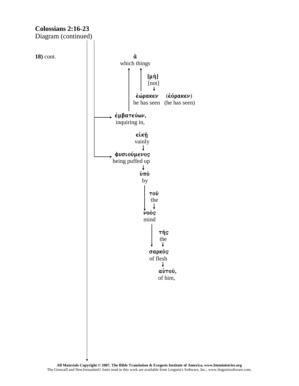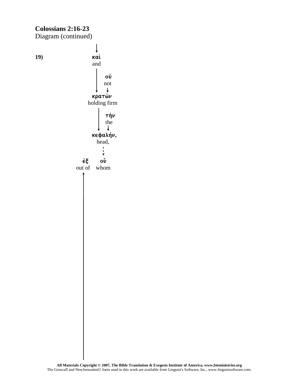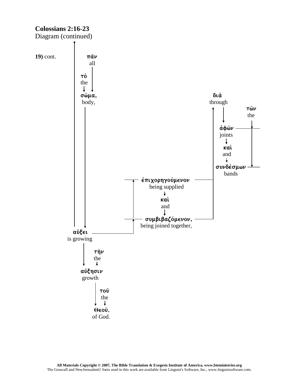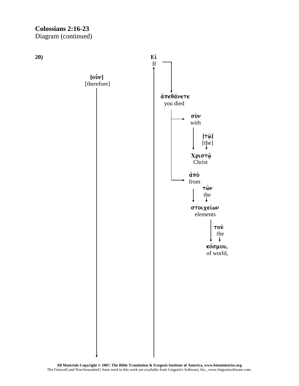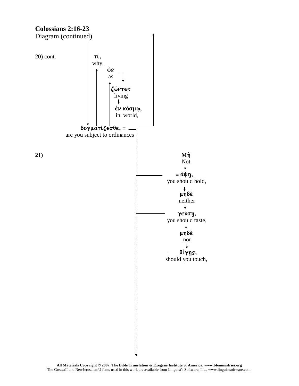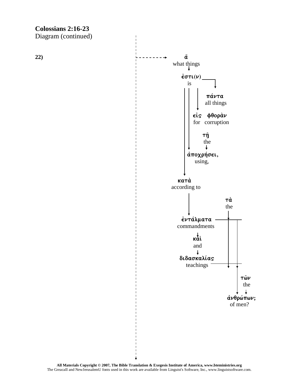$22)$ 

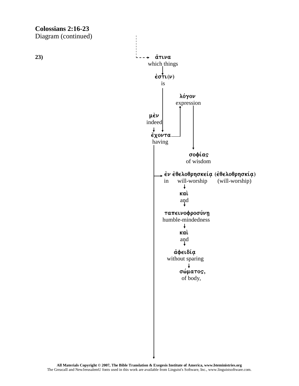$23)$